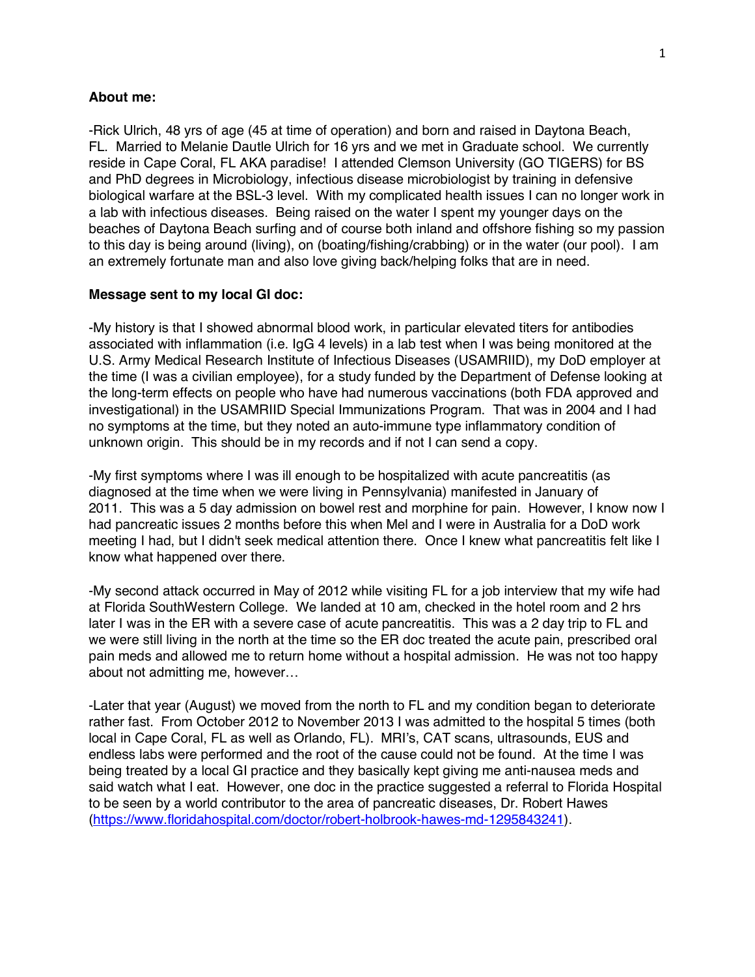## **About me:**

-Rick Ulrich, 48 yrs of age (45 at time of operation) and born and raised in Daytona Beach, FL. Married to Melanie Dautle Ulrich for 16 yrs and we met in Graduate school. We currently reside in Cape Coral, FL AKA paradise! I attended Clemson University (GO TIGERS) for BS and PhD degrees in Microbiology, infectious disease microbiologist by training in defensive biological warfare at the BSL-3 level. With my complicated health issues I can no longer work in a lab with infectious diseases. Being raised on the water I spent my younger days on the beaches of Daytona Beach surfing and of course both inland and offshore fishing so my passion to this day is being around (living), on (boating/fishing/crabbing) or in the water (our pool). I am an extremely fortunate man and also love giving back/helping folks that are in need.

## **Message sent to my local GI doc:**

-My history is that I showed abnormal blood work, in particular elevated titers for antibodies associated with inflammation (i.e. IgG 4 levels) in a lab test when I was being monitored at the U.S. Army Medical Research Institute of Infectious Diseases (USAMRIID), my DoD employer at the time (I was a civilian employee), for a study funded by the Department of Defense looking at the long-term effects on people who have had numerous vaccinations (both FDA approved and investigational) in the USAMRIID Special Immunizations Program. That was in 2004 and I had no symptoms at the time, but they noted an auto-immune type inflammatory condition of unknown origin. This should be in my records and if not I can send a copy.

-My first symptoms where I was ill enough to be hospitalized with acute pancreatitis (as diagnosed at the time when we were living in Pennsylvania) manifested in January of 2011. This was a 5 day admission on bowel rest and morphine for pain. However, I know now I had pancreatic issues 2 months before this when Mel and I were in Australia for a DoD work meeting I had, but I didn't seek medical attention there. Once I knew what pancreatitis felt like I know what happened over there.

-My second attack occurred in May of 2012 while visiting FL for a job interview that my wife had at Florida SouthWestern College. We landed at 10 am, checked in the hotel room and 2 hrs later I was in the ER with a severe case of acute pancreatitis. This was a 2 day trip to FL and we were still living in the north at the time so the ER doc treated the acute pain, prescribed oral pain meds and allowed me to return home without a hospital admission. He was not too happy about not admitting me, however…

-Later that year (August) we moved from the north to FL and my condition began to deteriorate rather fast. From October 2012 to November 2013 I was admitted to the hospital 5 times (both local in Cape Coral, FL as well as Orlando, FL). MRI's, CAT scans, ultrasounds, EUS and endless labs were performed and the root of the cause could not be found. At the time I was being treated by a local GI practice and they basically kept giving me anti-nausea meds and said watch what I eat. However, one doc in the practice suggested a referral to Florida Hospital to be seen by a world contributor to the area of pancreatic diseases, Dr. Robert Hawes (https://www.floridahospital.com/doctor/robert-holbrook-hawes-md-1295843241).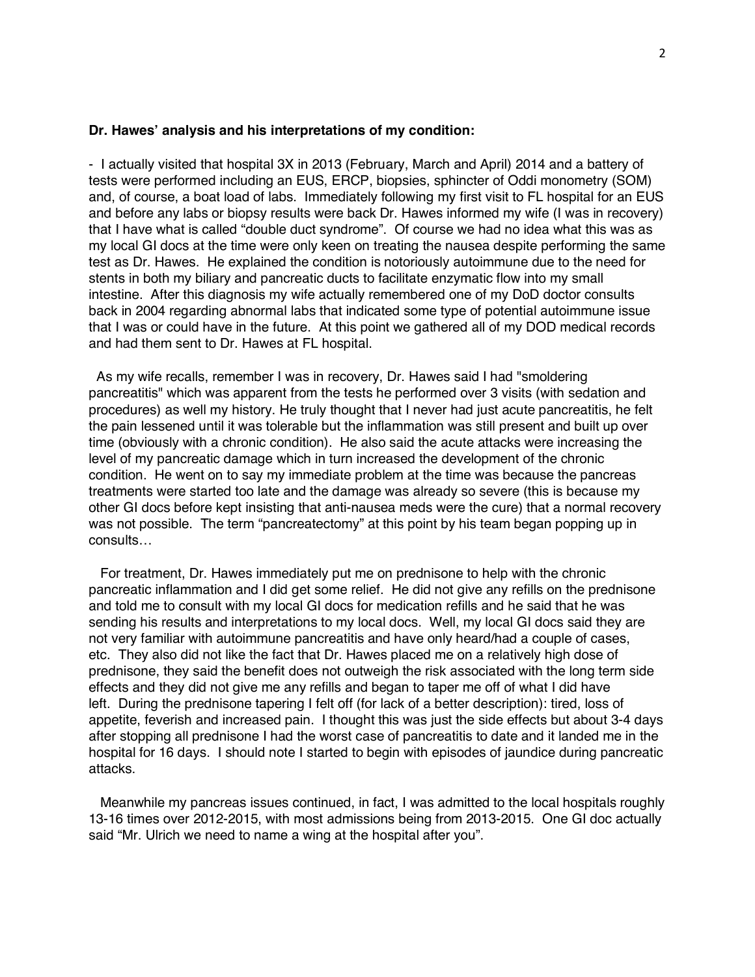## **Dr. Hawes' analysis and his interpretations of my condition:**

- I actually visited that hospital 3X in 2013 (February, March and April) 2014 and a battery of tests were performed including an EUS, ERCP, biopsies, sphincter of Oddi monometry (SOM) and, of course, a boat load of labs. Immediately following my first visit to FL hospital for an EUS and before any labs or biopsy results were back Dr. Hawes informed my wife (I was in recovery) that I have what is called "double duct syndrome". Of course we had no idea what this was as my local GI docs at the time were only keen on treating the nausea despite performing the same test as Dr. Hawes. He explained the condition is notoriously autoimmune due to the need for stents in both my biliary and pancreatic ducts to facilitate enzymatic flow into my small intestine. After this diagnosis my wife actually remembered one of my DoD doctor consults back in 2004 regarding abnormal labs that indicated some type of potential autoimmune issue that I was or could have in the future. At this point we gathered all of my DOD medical records and had them sent to Dr. Hawes at FL hospital.

As my wife recalls, remember I was in recovery, Dr. Hawes said I had "smoldering pancreatitis" which was apparent from the tests he performed over 3 visits (with sedation and procedures) as well my history. He truly thought that I never had just acute pancreatitis, he felt the pain lessened until it was tolerable but the inflammation was still present and built up over time (obviously with a chronic condition). He also said the acute attacks were increasing the level of my pancreatic damage which in turn increased the development of the chronic condition. He went on to say my immediate problem at the time was because the pancreas treatments were started too late and the damage was already so severe (this is because my other GI docs before kept insisting that anti-nausea meds were the cure) that a normal recovery was not possible. The term "pancreatectomy" at this point by his team began popping up in consults…

 For treatment, Dr. Hawes immediately put me on prednisone to help with the chronic pancreatic inflammation and I did get some relief. He did not give any refills on the prednisone and told me to consult with my local GI docs for medication refills and he said that he was sending his results and interpretations to my local docs. Well, my local GI docs said they are not very familiar with autoimmune pancreatitis and have only heard/had a couple of cases, etc. They also did not like the fact that Dr. Hawes placed me on a relatively high dose of prednisone, they said the benefit does not outweigh the risk associated with the long term side effects and they did not give me any refills and began to taper me off of what I did have left. During the prednisone tapering I felt off (for lack of a better description): tired, loss of appetite, feverish and increased pain. I thought this was just the side effects but about 3-4 days after stopping all prednisone I had the worst case of pancreatitis to date and it landed me in the hospital for 16 days. I should note I started to begin with episodes of jaundice during pancreatic attacks.

 Meanwhile my pancreas issues continued, in fact, I was admitted to the local hospitals roughly 13-16 times over 2012-2015, with most admissions being from 2013-2015. One GI doc actually said "Mr. Ulrich we need to name a wing at the hospital after you".